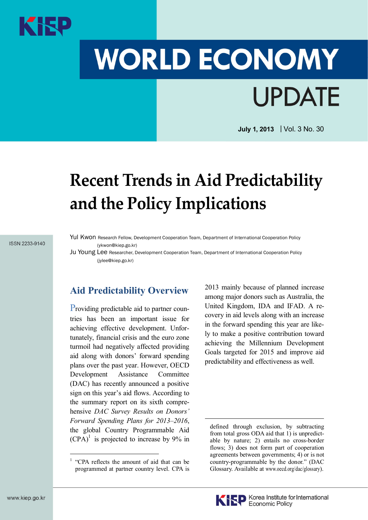# **WORLD ECONOMY UPDATE**

**July 1, 2013** | Vol. 3 No. 30

# **Recent Trends in Aid Predictability and the Policy Implications**

ISSN 2233-9140

Yul Kwon Research Fellow, Development Cooperation Team, Department of International Cooperation Policy (ykwon@kiep.go.kr)

Ju Young Lee Researcher, Development Cooperation Team, Department of International Cooperation Policy (jylee@kiep.go.kr)

### **Aid Predictability Overview**

Providing predictable aid to partner countries has been an important issue for achieving effective development. Unfortunately, financial crisis and the euro zone turmoil had negatively affected providing aid along with donors' forward spending plans over the past year. However, OECD Development Assistance Committee (DAC) has recently announced a positive sign on this year's aid flows. According to the summary report on its sixth comprehensive *DAC Survey Results on Donors' Forward Spending Plans for 2013–2016*, the global Country Programmable Aid  $(CPA)^1$  is projected to increase by 9% in

2013 mainly because of planned increase among major donors such as Australia, the United Kingdom, IDA and IFAD. A recovery in aid levels along with an increase in the forward spending this year are likely to make a positive contribution toward achieving the Millennium Development Goals targeted for 2015 and improve aid predictability and effectiveness as well.

<sup>&</sup>lt;sup>1</sup> "CPA reflects the amount of aid that can be programmed at partner country level. CPA is

defined through exclusion, by subtracting from total gross ODA aid that 1) is unpredictable by nature; 2) entails no cross-border flows; 3) does not form part of cooperation agreements between governments; 4) or is not country-programmable by the donor." (DAC Glossary. Available at www.oecd.org/dac/glossary).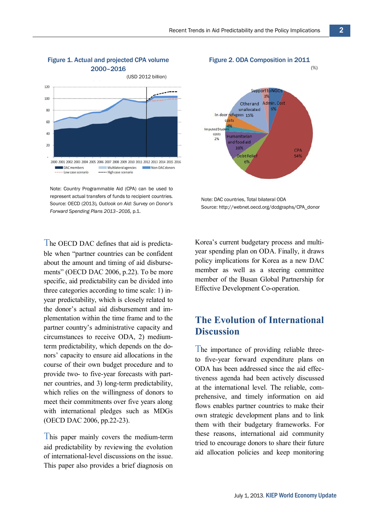

#### Figure 1. Actual and projected CPA volume 2000–2016

Note: Country Programmable Aid (CPA) can be used to represent actual transfers of funds to recipient countries. Source: OECD (2013)*, Outlook on Aid: Survey on Donor's Forward Spending Plans 2013–2016,* p.1.

The OECD DAC defines that aid is predictable when "partner countries can be confident about the amount and timing of aid disbursements" (OECD DAC 2006, p.22). To be more specific, aid predictability can be divided into three categories according to time scale: 1) inyear predictability, which is closely related to the donor's actual aid disbursement and implementation within the time frame and to the partner country's administrative capacity and circumstances to receive ODA, 2) mediumterm predictability, which depends on the donors' capacity to ensure aid allocations in the course of their own budget procedure and to provide two- to five-year forecasts with partner countries, and 3) long-term predictability, which relies on the willingness of donors to meet their commitments over five years along with international pledges such as MDGs (OECD DAC 2006, pp.22-23).

This paper mainly covers the medium-term aid predictability by reviewing the evolution of international-level discussions on the issue. This paper also provides a brief diagnosis on

## Figure 2. ODA Composition in 2011



Note: DAC countries, Total bilateral ODA Source: http://webnet.oecd.org/dcdgraphs/CPA\_donor

Korea's current budgetary process and multiyear spending plan on ODA. Finally, it draws policy implications for Korea as a new DAC member as well as a steering committee member of the Busan Global Partnership for Effective Development Co-operation.

#### **The Evolution of International Discussion**

The importance of providing reliable threeto five-year forward expenditure plans on ODA has been addressed since the aid effectiveness agenda had been actively discussed at the international level. The reliable, comprehensive, and timely information on aid flows enables partner countries to make their own strategic development plans and to link them with their budgetary frameworks. For these reasons, international aid community tried to encourage donors to share their future aid allocation policies and keep monitoring

(%)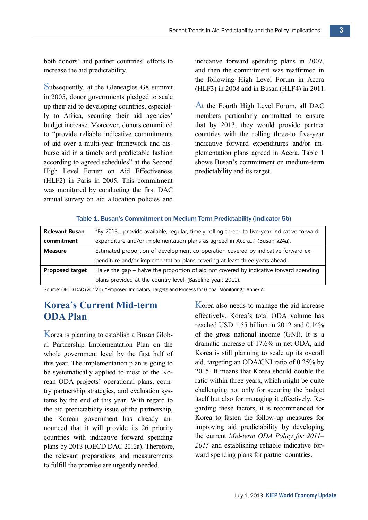both donors' and partner countries' efforts to increase the aid predictability.

Subsequently, at the Gleneagles G8 summit in 2005, donor governments pledged to scale up their aid to developing countries, especially to Africa, securing their aid agencies' budget increase. Moreover, donors committed to "provide reliable indicative commitments of aid over a multi-year framework and disburse aid in a timely and predictable fashion according to agreed schedules" at the Second High Level Forum on Aid Effectiveness (HLF2) in Paris in 2005. This commitment was monitored by conducting the first DAC annual survey on aid allocation policies and

indicative forward spending plans in 2007, and then the commitment was reaffirmed in the following High Level Forum in Accra (HLF3) in 2008 and in Busan (HLF4) in 2011.

At the Fourth High Level Forum, all DAC members particularly committed to ensure that by 2013, they would provide partner countries with the rolling three-to five-year indicative forward expenditures and/or implementation plans agreed in Accra. Table 1 shows Busan's commitment on medium-term predictability and its target.

#### Table 1. Busan's Commitment on Medium-Term Predictability (Indicator 5b)

| <b>Relevant Busan</b> | "By 2013 provide available, regular, timely rolling three- to five-year indicative forward |
|-----------------------|--------------------------------------------------------------------------------------------|
| commitment            | expenditure and/or implementation plans as agreed in Accra" (Busan §24a).                  |
| <b>Measure</b>        | Estimated proportion of development co-operation covered by indicative forward ex-         |
|                       | penditure and/or implementation plans covering at least three years ahead.                 |
| Proposed target       | Halve the gap – halve the proportion of aid not covered by indicative forward spending     |
|                       | plans provided at the country level. (Baseline year: 2011).                                |

Source: OECD DAC (2012b), "Proposed Indicators, Targets and Process for Global Monitoring," Annex A.

### **Korea's Current Mid-term ODA Plan**

Korea is planning to establish a Busan Global Partnership Implementation Plan on the whole government level by the first half of this year. The implementation plan is going to be systematically applied to most of the Korean ODA projects' operational plans, country partnership strategies, and evaluation systems by the end of this year. With regard to the aid predictability issue of the partnership, the Korean government has already announced that it will provide its 26 priority countries with indicative forward spending plans by 2013 (OECD DAC 2012a). Therefore, the relevant preparations and measurements to fulfill the promise are urgently needed.

Korea also needs to manage the aid increase effectively. Korea's total ODA volume has reached USD 1.55 billion in 2012 and 0.14% of the gross national income (GNI). It is a dramatic increase of 17.6% in net ODA, and Korea is still planning to scale up its overall aid, targeting an ODA/GNI ratio of 0.25% by 2015. It means that Korea should double the ratio within three years, which might be quite challenging not only for securing the budget itself but also for managing it effectively. Regarding these factors, it is recommended for Korea to fasten the follow-up measures for improving aid predictability by developing the current *Mid-term ODA Policy for 2011– 2015* and establishing reliable indicative forward spending plans for partner countries.